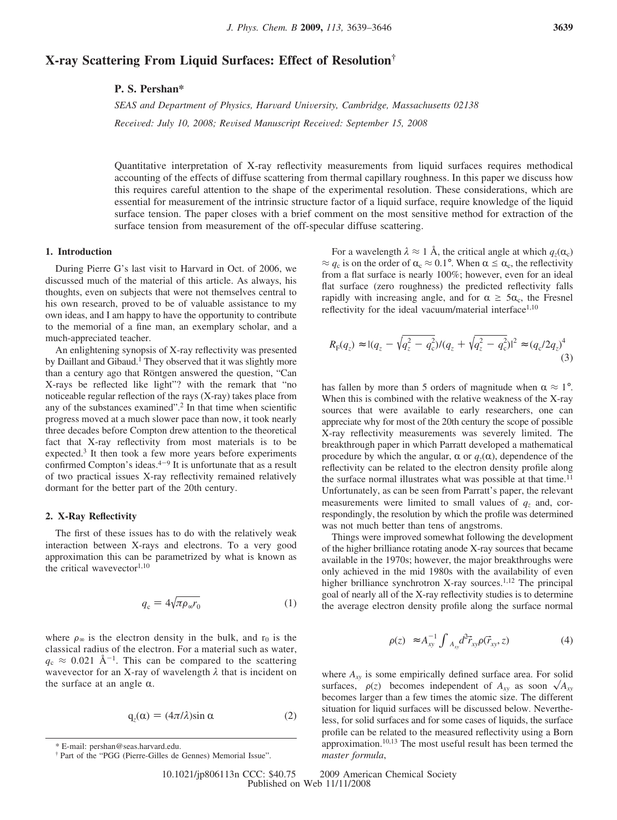# **X-ray Scattering From Liquid Surfaces: Effect of Resolution†**

## **P. S. Pershan\***

*SEAS and Department of Physics, Harvard University, Cambridge, Massachusetts 02138 Received: July 10, 2008; Revised Manuscript Received: September 15, 2008* 

Quantitative interpretation of X-ray reflectivity measurements from liquid surfaces requires methodical accounting of the effects of diffuse scattering from thermal capillary roughness. In this paper we discuss how this requires careful attention to the shape of the experimental resolution. These considerations, which are essential for measurement of the intrinsic structure factor of a liquid surface, require knowledge of the liquid surface tension. The paper closes with a brief comment on the most sensitive method for extraction of the surface tension from measurement of the off-specular diffuse scattering.

## **1. Introduction**

During Pierre G's last visit to Harvard in Oct. of 2006, we discussed much of the material of this article. As always, his thoughts, even on subjects that were not themselves central to his own research, proved to be of valuable assistance to my own ideas, and I am happy to have the opportunity to contribute to the memorial of a fine man, an exemplary scholar, and a much-appreciated teacher.

An enlightening synopsis of X-ray reflectivity was presented by Daillant and Gibaud.<sup>1</sup> They observed that it was slightly more than a century ago that Röntgen answered the question, "Can X-rays be reflected like light"? with the remark that "no noticeable regular reflection of the rays (X-ray) takes place from any of the substances examined".2 In that time when scientific progress moved at a much slower pace than now, it took nearly three decades before Compton drew attention to the theoretical fact that X-ray reflectivity from most materials is to be expected.<sup>3</sup> It then took a few more years before experiments confirmed Compton's ideas. $4-9$  It is unfortunate that as a result of two practical issues X-ray reflectivity remained relatively dormant for the better part of the 20th century.

## **2. X-Ray Reflectivity**

The first of these issues has to do with the relatively weak interaction between X-rays and electrons. To a very good approximation this can be parametrized by what is known as the critical wavevector<sup>1,10</sup>

$$
q_{\rm c} = 4\sqrt{\pi \rho_{\infty} r_0} \tag{1}
$$

where  $\rho_{\infty}$  is the electron density in the bulk, and r<sub>0</sub> is the classical radius of the electron. For a material such as water,  $q_c \approx 0.021 \text{ Å}^{-1}$ . This can be compared to the scattering wavevector for an X-ray of wavelength *λ* that is incident on the surface at an angle  $\alpha$ .

$$
q_z(\alpha) = (4\pi/\lambda)\sin \alpha \tag{2}
$$

For a wavelength  $\lambda \approx 1$  Å, the critical angle at which  $q_z(\alpha_c)$  $\approx q_c$  is on the order of  $\alpha_c \approx 0.1^\circ$ . When  $\alpha \leq \alpha_c$ , the reflectivity from a flat surface is nearly 100%; however, even for an ideal flat surface (zero roughness) the predicted reflectivity falls rapidly with increasing angle, and for  $\alpha \geq 5\alpha_c$ , the Fresnel reflectivity for the ideal vacuum/material interface $1,10$ 

$$
R_{\rm F}(q_z) \approx |(q_z - \sqrt{q_z^2 - q_{\rm c}^2})/(q_z + \sqrt{q_z^2 - q_{\rm c}^2})|^2 \approx (q_{\rm c}/2q_z)^4
$$
\n(3)

has fallen by more than 5 orders of magnitude when  $\alpha \approx 1^{\circ}$ . When this is combined with the relative weakness of the X-ray sources that were available to early researchers, one can appreciate why for most of the 20th century the scope of possible X-ray reflectivity measurements was severely limited. The breakthrough paper in which Parratt developed a mathematical procedure by which the angular,  $\alpha$  or  $q_z(\alpha)$ , dependence of the reflectivity can be related to the electron density profile along the surface normal illustrates what was possible at that time.<sup>11</sup> Unfortunately, as can be seen from Parratt's paper, the relevant measurements were limited to small values of  $q<sub>z</sub>$  and, correspondingly, the resolution by which the profile was determined was not much better than tens of angstroms.

Things were improved somewhat following the development of the higher brilliance rotating anode X-ray sources that became available in the 1970s; however, the major breakthroughs were only achieved in the mid 1980s with the availability of even higher brilliance synchrotron X-ray sources.<sup>1,12</sup> The principal goal of nearly all of the X-ray reflectivity studies is to determine the average electron density profile along the surface normal

$$
\langle \rho(z) \rangle \approx A_{xy}^{-1} \int_{A_{xy}} d^2 \vec{r}_{xy} \rho(\vec{r}_{xy}, z) \tag{4}
$$

where  $A_{xy}$  is some empirically defined surface area. For solid surfaces,  $\langle \rho(z) \rangle$  becomes independent of  $A_{xy}$  as soon  $\sqrt{A_{xy}}$ <br>becomes larger than a few times the atomic size. The different becomes larger than a few times the atomic size. The different situation for liquid surfaces will be discussed below. Nevertheless, for solid surfaces and for some cases of liquids, the surface profile can be related to the measured reflectivity using a Born approximation.<sup>10,13</sup> The most useful result has been termed the *master formula*,

*master formula*, \* E-mail: pershan@seas.harvard.edu. † Part of the "PGG (Pierre-Gilles de Gennes) Memorial Issue".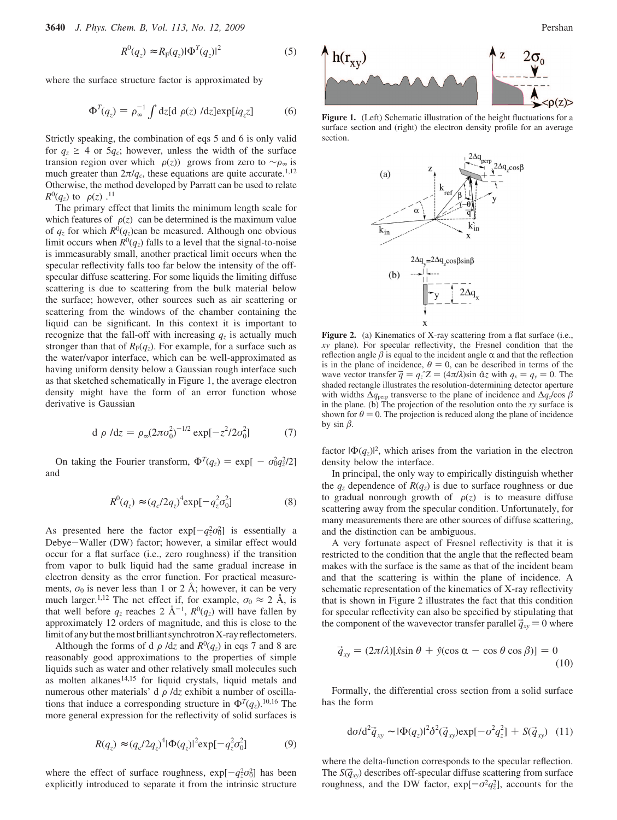$$
R^{0}(q_{z}) \approx R_{F}(q_{z})|\Phi^{T}(q_{z})|^{2}
$$
 (5)

where the surface structure factor is approximated by

$$
\Phi^{T}(q_{z}) = \rho_{\infty}^{-1} \int dz [d\langle \rho(z) \rangle / dz] exp[iq_{z}z] \tag{6}
$$

Strictly speaking, the combination of eqs 5 and 6 is only valid for  $q_z \geq 4$  or  $5q_c$ ; however, unless the width of the surface transion region over which  $\langle \rho(z) \rangle$  grows from zero to ∼ $\rho_{\infty}$  is much greater than  $2\pi l q_c$ , these equations are quite accurate.<sup>1,12</sup> Otherwise, the method developed by Parratt can be used to relate  $R^0(q_z)$  to  $\langle \rho(z) \rangle$ .<sup>11</sup><br>The primary et

The primary effect that limits the minimum length scale for which features of  $\langle \rho(z) \rangle$  can be determined is the maximum value of  $q_z$  for which  $R^0(q_z)$ can be measured. Although one obvious limit occurs when  $R^0(q_z)$  falls to a level that the signal-to-noise is immeasurably small, another practical limit occurs when the specular reflectivity falls too far below the intensity of the offspecular diffuse scattering. For some liquids the limiting diffuse scattering is due to scattering from the bulk material below the surface; however, other sources such as air scattering or scattering from the windows of the chamber containing the liquid can be significant. In this context it is important to recognize that the fall-off with increasing  $q<sub>z</sub>$  is actually much stronger than that of  $R_F(q_z)$ . For example, for a surface such as the water/vapor interface, which can be well-approximated as having uniform density below a Gaussian rough interface such as that sketched schematically in Figure 1, the average electron density might have the form of an error function whose derivative is Gaussian

$$
d\langle \rho \rangle / dz = \rho_{\infty} (2\pi \sigma_0^2)^{-1/2} \exp[-z^2 / 2\sigma_0^2]
$$
 (7)

On taking the Fourier transform,  $\Phi^{T}(q_z) = \exp[-\sigma_0^2 q_z^2/2]$ and

$$
R^{0}(q_{z}) \approx (q_{c}/2q_{z})^{4} \exp[-q_{z}^{2}\sigma_{0}^{2}]
$$
 (8)

As presented here the factor  $exp[-q_z^2 \sigma_0^2]$  is essentially a<br>Debye–Waller (DW) factor: however a similar effect would Debye-Waller (DW) factor; however, a similar effect would occur for a flat surface (i.e., zero roughness) if the transition from vapor to bulk liquid had the same gradual increase in electron density as the error function. For practical measurements,  $\sigma_0$  is never less than 1 or 2 Å; however, it can be very much larger.<sup>1,12</sup> The net effect if, for example,  $\sigma_0 \approx 2$  Å, is that well before  $q_z$  reaches 2  $\AA^{-1}$ ,  $R^0(q_z)$  will have fallen by approximately 12 orders of magnitude, and this is close to the limit of any but the most brilliant synchrotron X-ray reflectometers.

Although the forms of  $d\langle \rho \rangle/dz$  and  $R^0(q_z)$  in eqs 7 and 8 are reasonably good approximations to the properties of simple liquids such as water and other relatively small molecules such as molten alkanes<sup>14,15</sup> for liquid crystals, liquid metals and numerous other materials'  $d\langle \rho \rangle / dz$  exhibit a number of oscillations that induce a corresponding structure in  $\Phi^{T}(q_z)$ .<sup>10,16</sup> The more general expression for the reflectivity of solid surfaces is

$$
R(q_z) \approx (q_c/2q_z)^4 |\Phi(q_z)|^2 \exp[-q_z^2 \sigma_0^2]
$$
 (9)

where the effect of surface roughness,  $\exp[-q_z^2 \sigma_0^2]$  has been<br>explicitly introduced to separate it from the intrinsic structure explicitly introduced to separate it from the intrinsic structure



Figure 1. (Left) Schematic illustration of the height fluctuations for a surface section and (right) the electron density profile for an average section.



Figure 2. (a) Kinematics of X-ray scattering from a flat surface (i.e., *xy* plane). For specular reflectivity, the Fresnel condition that the reflection angle  $\beta$  is equal to the incident angle  $\alpha$  and that the reflection is in the plane of incidence,  $\theta = 0$ , can be described in terms of the wave vector transfer  $\vec{q} = q_z \hat{i} Z = (4\pi/\lambda) \sin \hat{\alpha} Z$  with  $q_x = q_y = 0$ . The shaded rectangle illustrates the resolution-determining detector aperture with widths  $\Delta q_{\text{perp}}$  transverse to the plane of incidence and  $\Delta q_z/\cos \beta$ in the plane. (b) The projection of the resolution onto the *xy* surface is shown for  $\theta = 0$ . The projection is reduced along the plane of incidence by  $\sin \beta$ .

factor  $|\Phi(q_z)|^2$ , which arises from the variation in the electron density below the interface.

In principal, the only way to empirically distinguish whether the  $q_z$  dependence of  $R(q_z)$  is due to surface roughness or due to gradual nonrough growth of  $\langle \rho(z) \rangle$  is to measure diffuse scattering away from the specular condition. Unfortunately, for many measurements there are other sources of diffuse scattering, and the distinction can be ambiguous.

A very fortunate aspect of Fresnel reflectivity is that it is restricted to the condition that the angle that the reflected beam makes with the surface is the same as that of the incident beam and that the scattering is within the plane of incidence. A schematic representation of the kinematics of X-ray reflectivity that is shown in Figure 2 illustrates the fact that this condition for specular reflectivity can also be specified by stipulating that the component of the wavevector transfer parallel  $\vec{q}_{xy} = 0$  where

$$
\vec{q}_{xy} = (2\pi/\lambda)[\hat{x}\sin\theta + \hat{y}(\cos\alpha - \cos\theta\cos\beta)] = 0
$$
\n(10)

Formally, the differential cross section from a solid surface has the form

$$
d\sigma/d^2 \vec{q}_{xy} \sim |\Phi(q_z)|^2 \delta^2(\vec{q}_{xy}) \exp[-\sigma^2 q_z^2] + S(\vec{q}_{xy}) \quad (11)
$$

where the delta-function corresponds to the specular reflection. The  $S(\vec{q}_x)$  describes off-specular diffuse scattering from surface roughness, and the DW factor,  $exp[-\sigma^2 q_z^2]$ , accounts for the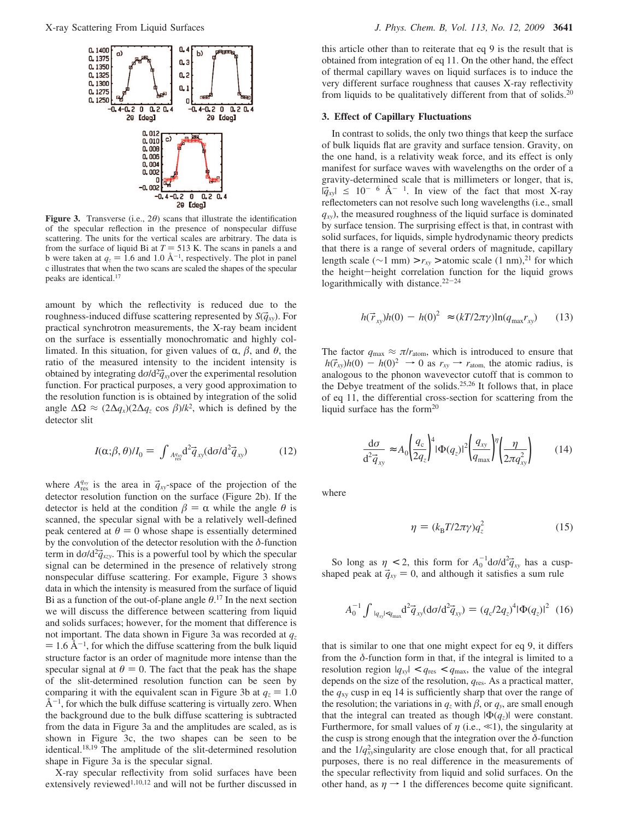

**Figure 3.** Transverse (i.e., 2*θ*) scans that illustrate the identification of the specular reflection in the presence of nonspecular diffuse scattering. The units for the vertical scales are arbitrary. The data is from the surface of liquid Bi at  $T = 513$  K. The scans in panels a and b were taken at  $q_z = 1.6$  and  $1.0$  Å<sup>-1</sup>, respectively. The plot in panel c illustrates that when the two scans are scaled the shanes of the specular c illustrates that when the two scans are scaled the shapes of the specular peaks are identical.17

amount by which the reflectivity is reduced due to the roughness-induced diffuse scattering represented by  $S(\vec{q}_x)$ . For practical synchrotron measurements, the X-ray beam incident on the surface is essentially monochromatic and highly collimated. In this situation, for given values of  $\alpha$ ,  $\beta$ , and  $\theta$ , the ratio of the measured intensity to the incident intensity is obtained by integrating  $d\sigma/d^2 \vec{q}_{xy}$ , over the experimental resolution<br>function. For practical purposes, a very good approximation to function. For practical purposes, a very good approximation to the resolution function is is obtained by integration of the solid angle  $\Delta\Omega \approx (2\Delta q_x)(2\Delta q_z \cos \beta)/k^2$ , which is defined by the detector slit

$$
I(\alpha;\beta,\theta)/I_0 = \int_{A_{\text{res}}^q} A^2 \vec{q}_{xy} (\text{d}\sigma/\text{d}^2 \vec{q}_{xy}) \tag{12}
$$

where  $A_{\text{res}}^{q_{xy}}$  is the area in  $\vec{q}_{xy}$ -space of the projection of the detector resolution function on the surface (Figure 2b). If the detector resolution function on the surface (Figure 2b). If the detector is held at the condition  $\beta = \alpha$  while the angle  $\theta$  is scanned, the specular signal with be a relatively well-defined peak centered at  $\theta = 0$  whose shape is essentially determined by the convolution of the detector resolution with the *δ*-function term in  $d\sigma/d^2\vec{q}_{\text{Xzy}}$ . This is a powerful tool by which the specular signal can be determined in the presence of relatively strong signal can be determined in the presence of relatively strong nonspecular diffuse scattering. For example, Figure 3 shows data in which the intensity is measured from the surface of liquid Bi as a function of the out-of-plane angle  $\theta$ .<sup>17</sup> In the next section we will discuss the difference between scattering from liquid and solids surfaces; however, for the moment that difference is not important. The data shown in Figure 3a was recorded at *qz*  $= 1.6 \text{ Å}^{-1}$ , for which the diffuse scattering from the bulk liquid structure factor is an order of magnitude more intense than the specular signal at  $\theta = 0$ . The fact that the peak has the shape of the slit-determined resolution function can be seen by comparing it with the equivalent scan in Figure 3b at  $q_z = 1.0$  $\AA^{-1}$ , for which the bulk diffuse scattering is virtually zero. When the background due to the bulk diffuse scattering is subtracted from the data in Figure 3a and the amplitudes are scaled, as is shown in Figure 3c, the two shapes can be seen to be identical.18,19 The amplitude of the slit-determined resolution shape in Figure 3a is the specular signal.

X-ray specular reflectivity from solid surfaces have been extensively reviewed<sup>1,10,12</sup> and will not be further discussed in

this article other than to reiterate that eq 9 is the result that is obtained from integration of eq 11. On the other hand, the effect of thermal capillary waves on liquid surfaces is to induce the very different surface roughness that causes X-ray reflectivity from liquids to be qualitatively different from that of solids.20

#### **3. Effect of Capillary Fluctuations**

In contrast to solids, the only two things that keep the surface of bulk liquids flat are gravity and surface tension. Gravity, on the one hand, is a relativity weak force, and its effect is only manifest for surface waves with wavelengths on the order of a gravity-determined scale that is millimeters or longer, that is,  $|\vec{q}_{xy}| \le 10^{-6}$  Å<sup>-1</sup>. In view of the fact that most X-ray reflectometers can not resolve such long wavelengths (i.e., small  $q_{xy}$ , the measured roughness of the liquid surface is dominated by surface tension. The surprising effect is that, in contrast with solid surfaces, for liquids, simple hydrodynamic theory predicts that there is a range of several orders of magnitude, capillary length scale ( $\sim$ 1 mm) > *r<sub>xy</sub>* > atomic scale (1 nm),<sup>21</sup> for which the height-height correlation function for the liquid grows logarithmically with distance.<sup>22-24</sup>

$$
\langle h(\vec{r}_{xy})h(0) - h(0)^2 \rangle \approx (kT/2\pi\gamma)\ln(q_{\text{max}}r_{xy}) \tag{13}
$$

The factor  $q_{\text{max}} \approx \pi/r_{\text{atom}}$ , which is introduced to ensure that  $\langle h(\vec{r}_{xy})h(0) - h(0)^2 \rangle \rightarrow 0$  as  $r_{xy} \rightarrow r_{atom}$ , the atomic radius, is analogous to the phonon wavevector cutoff that is common to the Debye treatment of the solids.25,26 It follows that, in place of eq 11, the differential cross-section for scattering from the liquid surface has the form<sup>20</sup>

$$
\frac{\mathrm{d}\sigma}{\mathrm{d}^2 \vec{q}_{xy}} \approx A_0 \left(\frac{q_c}{2q_z}\right)^4 |\Phi(q_z)|^2 \left(\frac{q_{xy}}{q_{\text{max}}}\right)^{\eta} \left(\frac{\eta}{2\pi q_{xy}^2}\right) \tag{14}
$$

where

$$
\eta = (k_{\rm B} T / 2\pi \gamma) q_z^2 \tag{15}
$$

So long as  $\eta < 2$ , this form for  $A_0^{-1} d\sigma/d^2 \vec{q}_{xy}$  has a cusp-<br>aned neak at  $\vec{a} = 0$  and although it satisfies a sum rule shaped peak at  $\vec{q}_{xy} = 0$ , and although it satisfies a sum rule

$$
A_0^{-1} \int_{|q_{xy}| < q_{\text{max}}} \frac{d^2 \vec{q}_{xy}}{(\text{d}\sigma/\text{d}^2 \vec{q}_{xy})} = (q_c/2q_z)^4 |\Phi(q_z)|^2 \tag{16}
$$

that is similar to one that one might expect for eq 9, it differs from the *δ*-function form in that, if the integral is limited to a resolution region  $|q_{xy}| < q_{res} < q_{max}$ , the value of the integral depends on the size of the resolution, *q*res. As a practical matter, the *q*xy cusp in eq 14 is sufficiently sharp that over the range of the resolution; the variations in  $q_z$  with  $\beta$ , or  $q_y$ , are small enough that the integral can treated as though  $|\Phi(q_z)|$  were constant. Furthermore, for small values of  $\eta$  (i.e.,  $\ll$ 1), the singularity at the cusp is strong enough that the integration over the *δ*-function and the  $1/q_{xy}^2$  singularity are close enough that, for all practical purposes, there is no real difference in the measurements of the specular reflectivity from liquid and solid surfaces. On the other hand, as  $\eta \rightarrow 1$  the differences become quite significant.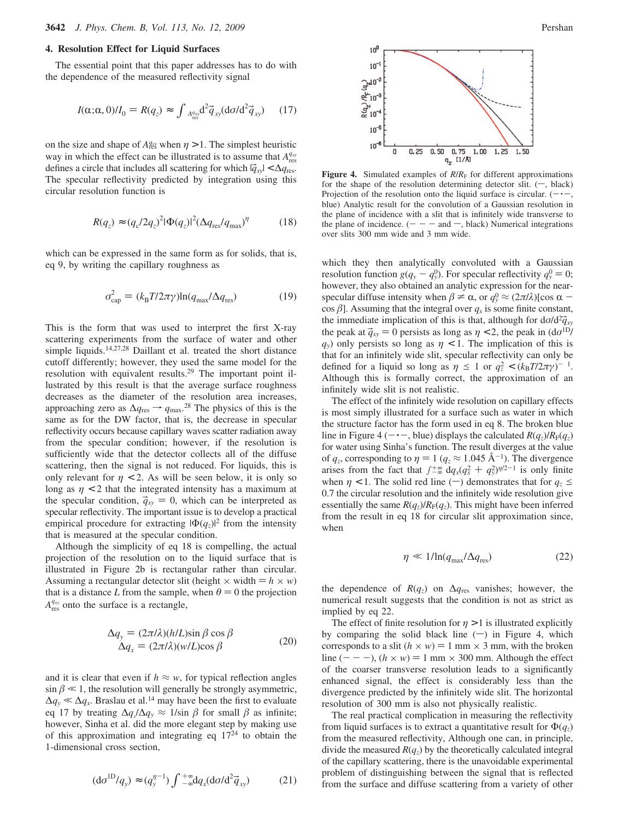## **4. Resolution Effect for Liquid Surfaces**

The essential point that this paper addresses has to do with the dependence of the measured reflectivity signal

$$
I(\alpha;\alpha,0)/I_0 = R(q_z) \approx \int_{A_{\text{res}}^q} d^2 \vec{q}_{xy} (\mathrm{d}\sigma/\mathrm{d}^2 \vec{q}_{xy}) \qquad (17)
$$

on the size and shape of  $A_{\text{res}}^q$  when  $\eta > 1$ . The simplest heuristic way in which the effect can be illustrated is to assume that  $A_{\text{res}}^{q_{xy}}$ defines a circle that includes all scattering for which  $|\vec{q}_{xy}| < \Delta q_{\text{res}}$ . The specular reflectivity predicted by integration using this circular resolution function is

$$
R(q_z) \approx (q_c/2q_z)^2 |\Phi(q_z)|^2 (\Delta q_{\text{res}} / q_{\text{max}})^{\eta}
$$
 (18)

which can be expressed in the same form as for solids, that is, eq 9, by writing the capillary roughness as

$$
\sigma_{\text{cap}}^2 = (k_{\text{B}} T / 2\pi \gamma) \ln(q_{\text{max}} / \Delta q_{\text{res}})
$$
(19)

This is the form that was used to interpret the first X-ray scattering experiments from the surface of water and other simple liquids.14,27,28 Daillant et al. treated the short distance cutoff differently; however, they used the same model for the resolution with equivalent results.29 The important point illustrated by this result is that the average surface roughness decreases as the diameter of the resolution area increases, approaching zero as  $\Delta q_{\text{res}} \rightarrow q_{\text{max}}$ .<sup>28</sup> The physics of this is the same as for the DW factor, that is, the decrease in specular reflectivity occurs because capillary waves scatter radiation away from the specular condition; however, if the resolution is sufficiently wide that the detector collects all of the diffuse scattering, then the signal is not reduced. For liquids, this is only relevant for  $\eta$  < 2. As will be seen below, it is only so long as  $\eta$  < 2 that the integrated intensity has a maximum at the specular condition,  $\vec{q}_{xy} = 0$ , which can be interpreted as specular reflectivity. The important issue is to develop a practical empirical procedure for extracting  $|\Phi(q_z)|^2$  from the intensity that is measured at the specular condition.

Although the simplicity of eq 18 is compelling, the actual projection of the resolution on to the liquid surface that is illustrated in Figure 2b is rectangular rather than circular. Assuming a rectangular detector slit (height  $\times$  width  $= h \times w$ ) that is a distance *L* from the sample, when  $\theta = 0$  the projection  $A_{\text{res}}^{q_{xy}}$  onto the surface is a rectangle,

$$
\Delta q_y = (2\pi/\lambda)(h/L)\sin\beta\cos\beta \n\Delta q_x = (2\pi/\lambda)(w/L)\cos\beta
$$
\n(20)

and it is clear that even if  $h \approx w$ , for typical reflection angles  $\sin \beta \ll 1$ , the resolution will generally be strongly asymmetric,  $\Delta q_y \ll \Delta q_x$ . Braslau et al.<sup>14</sup> may have been the first to evaluate eq 17 by treating  $\Delta q_x / \Delta q_y \approx 1/\sin \beta$  for small  $\beta$  as infinite; however, Sinha et al. did the more elegant step by making use of this approximation and integrating eq  $17<sup>24</sup>$  to obtain the 1-dimensional cross section,

$$
(\mathrm{d}\sigma^{1D}/q_{y}) \approx (q_{y}^{\eta-1}) \int_{-\infty}^{+\infty} \mathrm{d}q_{x} (\mathrm{d}\sigma/\mathrm{d}^{2}\vec{q}_{xy}) \tag{21}
$$



**Figure 4.** Simulated examples of  $R/R_F$  for different approximations for the shape of the resolution determining detector slit.  $(-, \text{black})$ Projection of the resolution onto the liquid surface is circular.  $(- \cdot -,$ blue) Analytic result for the convolution of a Gaussian resolution in the plane of incidence with a slit that is infinitely wide transverse to the plane of incidence.  $(- - -$  and  $-$ , black) Numerical integrations over slits 300 mm wide and 3 mm wide.

which they then analytically convoluted with a Gaussian resolution function  $g(q_y - q_y^0)$ . For specular reflectivity  $q_y^0 = 0$ ;<br>however they also obtained an analytic expression for the nearhowever, they also obtained an analytic expression for the nearspecular diffuse intensity when  $\beta \neq \alpha$ , or  $q_y^0 \approx (2\pi/\lambda)[\cos \alpha - \cos \beta]$ . Assuming that the integral over a is some finite constant  $\cos \beta$ ]. Assuming that the integral over  $q_x$  is some finite constant, the immediate implication of this is that, although for  $d\sigma/d^2\vec{q}_{xy}$ <br>the neak at  $\vec{a} = 0$  persists as long as  $n < 2$  the neak in  $(d\sigma^{1D})$ the peak at  $\vec{q}_{xy} = 0$  persists as long as  $\eta < 2$ , the peak in (d $\sigma^{1D}$ /  $q_y$ ) only persists so long as  $\eta$  < 1. The implication of this is that for an infinitely wide slit, specular reflectivity can only be defined for a liquid so long as  $\eta \leq 1$  or  $q_z^2 < (k_B T / 2\pi \gamma)^{-1}$ . Although this is formally correct, the approximation of an infinitely wide slit is not realistic.

The effect of the infinitely wide resolution on capillary effects is most simply illustrated for a surface such as water in which the structure factor has the form used in eq 8. The broken blue line in Figure 4 ( $-\cdot$ , blue) displays the calculated *R*(*q<sub>z</sub>*)/*R*<sub>F</sub>(*q<sub>z</sub>*) for water using Sinha's function. The result diverges at the value of  $q_z$ , corresponding to  $\eta = 1$  ( $q_z \approx 1.045 \text{ Å}^{-1}$ ). The divergence arises from the fact that  $\int_{-\infty}^{+\infty} dq_x (q_x^2 + q_y^2)^{\eta/2-1}$  is only finite<br>when  $n < 1$ . The solid red line (–) demonstrates that for  $q \leq$ when  $\eta$  < 1. The solid red line (-) demonstrates that for  $q_z \leq$ 0.7 the circular resolution and the infinitely wide resolution give essentially the same  $R(q_z)/R_F(q_z)$ . This might have been inferred from the result in eq 18 for circular slit approximation since, when

$$
\eta \ll 1/\ln(q_{\text{max}}/\Delta q_{\text{res}}) \tag{22}
$$

the dependence of  $R(q_z)$  on  $\Delta q_{\text{res}}$  vanishes; however, the numerical result suggests that the condition is not as strict as implied by eq 22.

The effect of finite resolution for  $\eta > 1$  is illustrated explicitly by comparing the solid black line  $(-)$  in Figure 4, which corresponds to a slit  $(h \times w) = 1$  mm  $\times$  3 mm, with the broken line  $(- - -)$ ,  $(h \times w) = 1$  mm  $\times$  300 mm. Although the effect of the coarser transverse resolution leads to a significantly enhanced signal, the effect is considerably less than the divergence predicted by the infinitely wide slit. The horizontal resolution of 300 mm is also not physically realistic.

The real practical complication in measuring the reflectivity from liquid surfaces is to extract a quantitative result for  $\Phi(q_z)$ from the measured reflectivity, Although one can, in principle, divide the measured  $R(q_z)$  by the theoretically calculated integral of the capillary scattering, there is the unavoidable experimental problem of distinguishing between the signal that is reflected from the surface and diffuse scattering from a variety of other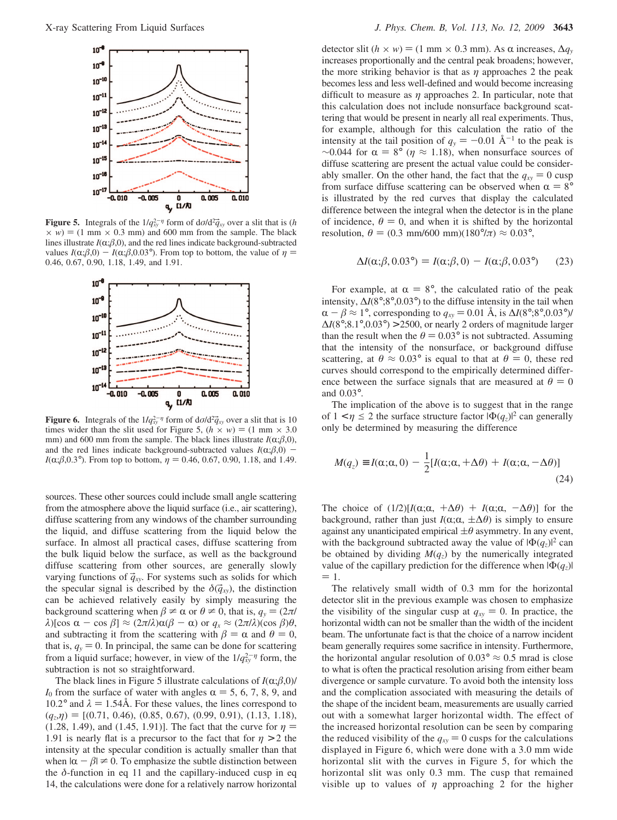

**Figure 5.** Integrals of the  $1/q_{xy}^{2}$ <sup> $-η$ </sup> form of  $dσ/d^2\bar{q}_{xy}$  over a slit that is (*h*  $\times$  *w*) = (1 mm  $\times$  0.3 mm) and 600 mm from the sample. The black  $\times w$ ) = (1 mm  $\times$  0.3 mm) and 600 mm from the sample. The black lines illustrate  $I(\alpha;\beta,0)$ , and the red lines indicate background-subtracted values  $I(\alpha;\beta,0) - I(\alpha;\beta,0.03^{\circ})$ . From top to bottom, the value of  $\eta$ 0.46, 0.67, 0.90, 1.18, 1.49, and 1.91.



**Figure 6.** Integrals of the  $1/\hat{q}_{xy}^{2-\eta}$  form of  $d\sigma/d^2\hat{q}_{xy}$  over a slit that is 10 times wider than the slit used for Figure 5 ( $h \times w$ ) = (1 mm  $\times$  3.0) times wider than the slit used for Figure 5,  $(h \times w) = (1 \text{ mm} \times 3.0)$ mm) and 600 mm from the sample. The black lines illustrate  $I(\alpha;\beta,0)$ , and the red lines indicate background-subtracted values  $I(\alpha;\beta,0)$ *I*( $\alpha$ ; $\beta$ , $0.3^{\circ}$ ). From top to bottom,  $\eta$  = 0.46, 0.67, 0.90, 1.18, and 1.49.

sources. These other sources could include small angle scattering from the atmosphere above the liquid surface (i.e., air scattering), diffuse scattering from any windows of the chamber surrounding the liquid, and diffuse scattering from the liquid below the surface. In almost all practical cases, diffuse scattering from the bulk liquid below the surface, as well as the background diffuse scattering from other sources, are generally slowly varying functions of  $\vec{q}_{xy}$ . For systems such as solids for which the specular signal is described by the  $\delta(\vec{q}_xy)$ , the distinction can be achieved relatively easily by simply measuring the background scattering when  $\beta \neq \alpha$  or  $\theta \neq 0$ , that is,  $q_y = (2\pi/\alpha)\pi$ *λ*)[cos α − cos  $\beta$ ] ≈ (2π/*λ*)α( $\beta$  − α) or  $q_x$  ≈ (2π/*λ*)(cos  $\beta$ ) $\theta$ , and subtracting it from the scattering with  $\beta = \alpha$  and  $\theta = 0$ , that is,  $q_y = 0$ . In principal, the same can be done for scattering from a liquid surface; however, in view of the  $1/q_{xy}^{2-\eta}$  form, the subtraction is not so straightforward.

The black lines in Figure 5 illustrate calculations of  $I(\alpha;\beta,0)/$  $I_0$  from the surface of water with angles  $\alpha = 5, 6, 7, 8, 9$ , and 10.2° and  $\lambda = 1.54$ Å. For these values, the lines correspond to  $(q_z,\eta) = [(0.71, 0.46), (0.85, 0.67), (0.99, 0.91), (1.13, 1.18),$ (1.28, 1.49), and (1.45, 1.91)]. The fact that the curve for  $\eta$  = 1.91 is nearly flat is a precursor to the fact that for  $\eta > 2$  the intensity at the specular condition is actually smaller than that when  $|\alpha - \beta| \neq 0$ . To emphasize the subtle distinction between the  $\delta$ -function in eq 11 and the capillary-induced cusp in eq 14, the calculations were done for a relatively narrow horizontal

detector slit (*h* × *w*) = (1 mm × 0.3 mm). As α increases,  $\Delta q$ <sub>*y*</sub> increases proportionally and the central peak broadens; however, the more striking behavior is that as  $\eta$  approaches 2 the peak becomes less and less well-defined and would become increasing difficult to measure as *η* approaches 2. In particular, note that this calculation does not include nonsurface background scattering that would be present in nearly all real experiments. Thus, for example, although for this calculation the ratio of the intensity at the tail position of  $q_y = -0.01 \text{ Å}^{-1}$  to the peak is  $\sim$ 0.044 for  $\alpha = 8^{\circ}$  ( $\eta \approx 1.18$ ), when nonsurface sources of diffuse scattering are present the actual value could be considerably smaller. On the other hand, the fact that the  $q_{xy} = 0$  cusp from surface diffuse scattering can be observed when  $\alpha = 8^{\circ}$ is illustrated by the red curves that display the calculated difference between the integral when the detector is in the plane of incidence,  $\theta = 0$ , and when it is shifted by the horizontal resolution,  $\theta = (0.3 \text{ mm}/600 \text{ mm})(180^{\circ}/\pi) \approx 0.03^{\circ}$ ,

$$
\Delta I(\alpha;\beta,0.03^\circ) = I(\alpha;\beta,0) - I(\alpha;\beta,0.03^\circ) \tag{23}
$$

For example, at  $\alpha = 8^\circ$ , the calculated ratio of the peak intensity,  $\Delta I(8^{\circ}; 8^{\circ}, 0.03^{\circ})$  to the diffuse intensity in the tail when  $\alpha - \beta \approx 1^{\circ}$ , corresponding to  $q_{xy} = 0.01 \text{ Å}$ , is  $\Delta I(8^{\circ};8^{\circ},0.03^{\circ})/$  $\Delta I(8^\circ; 8.1^\circ, 0.03^\circ) > 2500$ , or nearly 2 orders of magnitude larger than the result when the  $\theta = 0.03^{\circ}$  is not subtracted. Assuming that the intensity of the nonsurface, or background diffuse scattering, at  $\theta \approx 0.03^{\circ}$  is equal to that at  $\theta = 0$ , these red curves should correspond to the empirically determined difference between the surface signals that are measured at  $\theta = 0$ and 0.03°.

The implication of the above is to suggest that in the range of  $1 < \eta \leq 2$  the surface structure factor  $|\Phi(q_z)|^2$  can generally only be determined by measuring the difference

$$
M(q_z) \equiv I(\alpha; \alpha, 0) - \frac{1}{2} [I(\alpha; \alpha, +\Delta\theta) + I(\alpha; \alpha, -\Delta\theta)]
$$
\n(24)

The choice of  $(1/2)[I(\alpha;\alpha, +\Delta\theta) + I(\alpha;\alpha, -\Delta\theta)]$  for the background, rather than just  $I(\alpha;\alpha, \pm \Delta\theta)$  is simply to ensure against any unanticipated empirical  $\pm \theta$  asymmetry. In any event, with the background subtracted away the value of  $|\Phi(q_z)|^2$  can be obtained by dividing  $M(q_z)$  by the numerically integrated value of the capillary prediction for the difference when  $|\Phi(q_z)|$  $= 1.$ 

The relatively small width of 0.3 mm for the horizontal detector slit in the previous example was chosen to emphasize the visibility of the singular cusp at  $q_{xy} = 0$ . In practice, the horizontal width can not be smaller than the width of the incident beam. The unfortunate fact is that the choice of a narrow incident beam generally requires some sacrifice in intensity. Furthermore, the horizontal angular resolution of  $0.03^{\circ} \approx 0.5$  mrad is close to what is often the practical resolution arising from either beam divergence or sample curvature. To avoid both the intensity loss and the complication associated with measuring the details of the shape of the incident beam, measurements are usually carried out with a somewhat larger horizontal width. The effect of the increased horizontal resolution can be seen by comparing the reduced visibility of the  $q_{xy} = 0$  cusps for the calculations displayed in Figure 6, which were done with a 3.0 mm wide horizontal slit with the curves in Figure 5, for which the horizontal slit was only 0.3 mm. The cusp that remained visible up to values of *η* approaching 2 for the higher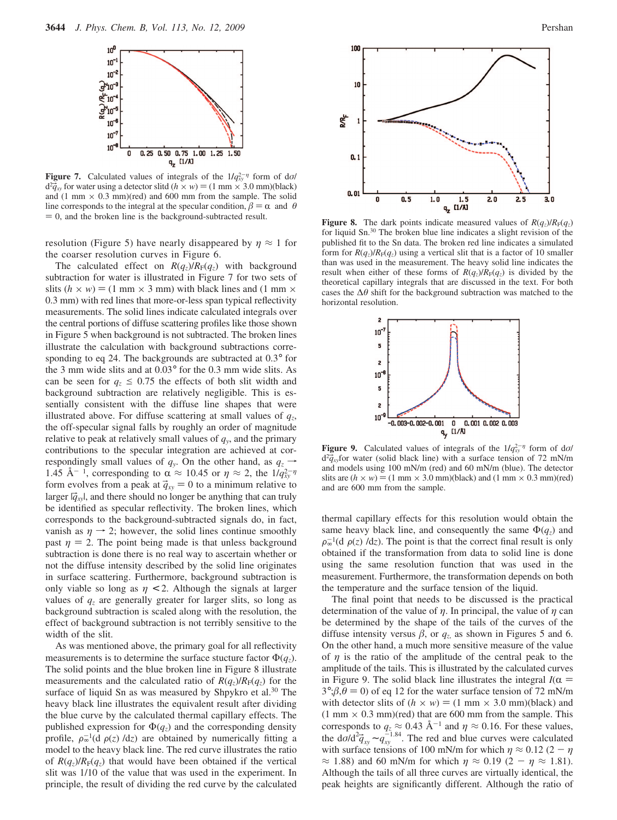

**Figure 7.** Calculated values of integrals of the  $1/q_{xy}^{2-\eta}$  form of d*σ*/  $d^2 \vec{q}_{xy}$  for water using a detector slitd  $(h \times w) = (1 \text{ mm} \times 3.0 \text{ mm})$ (black)<br>and  $(1 \text{ mm} \times 0.3 \text{ mm})$ (red) and 600 mm from the sample. The solid and (1 mm  $\times$  0.3 mm)(red) and 600 mm from the sample. The solid line corresponds to the integral at the specular condition,  $\beta = \alpha$  and  $\theta = 0$ , and the broken line is the background-subtracted result.

resolution (Figure 5) have nearly disappeared by  $\eta \approx 1$  for the coarser resolution curves in Figure 6.

The calculated effect on  $R(q_z)/R_F(q_z)$  with background subtraction for water is illustrated in Figure 7 for two sets of slits  $(h \times w) = (1 \text{ mm} \times 3 \text{ mm})$  with black lines and  $(1 \text{ mm} \times$ 0.3 mm) with red lines that more-or-less span typical reflectivity measurements. The solid lines indicate calculated integrals over the central portions of diffuse scattering profiles like those shown in Figure 5 when background is not subtracted. The broken lines illustrate the calculation with background subtractions corresponding to eq 24. The backgrounds are subtracted at 0.3° for the 3 mm wide slits and at 0.03° for the 0.3 mm wide slits. As can be seen for  $q_z \leq 0.75$  the effects of both slit width and background subtraction are relatively negligible. This is essentially consistent with the diffuse line shapes that were illustrated above. For diffuse scattering at small values of *qz*, the off-specular signal falls by roughly an order of magnitude relative to peak at relatively small values of  $q<sub>y</sub>$ , and the primary contributions to the specular integration are achieved at correspondingly small values of  $q_y$ . On the other hand, as  $q_z \rightarrow$ 1.45 Å<sup>-1</sup>, corresponding to  $\alpha \approx 10.45$  or  $\eta \approx 2$ , the  $1/q_{xy}^{2-\eta}$ <br>form evolves from a neak at  $\vec{a} = 0$  to a minimum relative to form evolves from a peak at  $\vec{q}_{xy} = 0$  to a minimum relative to larger  $|\vec{q}_{xy}|$ , and there should no longer be anything that can truly be identified as specular reflectivity. The broken lines, which corresponds to the background-subtracted signals do, in fact, vanish as  $\eta \rightarrow 2$ ; however, the solid lines continue smoothly past  $\eta = 2$ . The point being made is that unless background subtraction is done there is no real way to ascertain whether or not the diffuse intensity described by the solid line originates in surface scattering. Furthermore, background subtraction is only viable so long as  $\eta$  < 2. Although the signals at larger values of  $q<sub>z</sub>$  are generally greater for larger slits, so long as background subtraction is scaled along with the resolution, the effect of background subtraction is not terribly sensitive to the width of the slit.

As was mentioned above, the primary goal for all reflectivity measurements is to determine the surface stucture factor  $\Phi(q_z)$ . The solid points and the blue broken line in Figure 8 illustrate measurements and the calculated ratio of  $R(q_z)/R_F(q_z)$  for the surface of liquid Sn as was measured by Shpykro et al.<sup>30</sup> The heavy black line illustrates the equivalent result after dividing the blue curve by the calculated thermal capillary effects. The published expression for  $\Phi(q_z)$  and the corresponding density profile,  $\rho_{\infty}^{-1}(d\langle \rho(z)\rangle/dz)$  are obtained by numerically fitting a model to the heavy black line. The red curve illustrates the ratio model to the heavy black line. The red curve illustrates the ratio of  $R(q_z)/R_F(q_z)$  that would have been obtained if the vertical slit was 1/10 of the value that was used in the experiment. In principle, the result of dividing the red curve by the calculated



for liquid Sn.30 The broken blue line indicates a slight revision of the published fit to the Sn data. The broken red line indicates a simulated form for  $R(q_z)/R_F(q_z)$  using a vertical slit that is a factor of 10 smaller than was used in the measurement. The heavy solid line indicates the result when either of these forms of  $R(q_z)/R_F(q_z)$  is divided by the theoretical capillary integrals that are discussed in the text. For both cases the ∆*θ* shift for the background subtraction was matched to the horizontal resolution.



**Figure 9.** Calculated values of integrals of the  $1/q_{xy}^{2-\eta}$  form of d*σ*/  $d^2\vec{q}_{xy}$ for water (solid black line) with a surface tension of 72 mN/m<br>and models using 100 mN/m (red) and 60 mN/m (blue). The detector and models using 100 mN/m (red) and 60 mN/m (blue). The detector slits are  $(h \times w) = (1 \text{ mm} \times 3.0 \text{ mm})$ (black) and  $(1 \text{ mm} \times 0.3 \text{ mm})$ (red) and are 600 mm from the sample.

thermal capillary effects for this resolution would obtain the same heavy black line, and consequently the same  $\Phi(q_z)$  and  $\rho_{\infty}$  (a( $\rho(z)/a\overline{z}$ ). The point is that the correct final result is only obtained if the transformation from data to solid line is done  $\rho_{\infty}^{-1}(d\langle \rho(z)\rangle/dz)$ . The point is that the correct final result is only using the same resolution function that was used in the measurement. Furthermore, the transformation depends on both the temperature and the surface tension of the liquid.

The final point that needs to be discussed is the practical determination of the value of *η*. In principal, the value of *η* can be determined by the shape of the tails of the curves of the diffuse intensity versus  $\beta$ , or  $q_z$  as shown in Figures 5 and 6. On the other hand, a much more sensitive measure of the value of  $\eta$  is the ratio of the amplitude of the central peak to the amplitude of the tails. This is illustrated by the calculated curves in Figure 9. The solid black line illustrates the integral  $I(\alpha)$  $3^{\circ}$ ; $\beta$ , $\theta$  = 0) of eq 12 for the water surface tension of 72 mN/m with detector slits of  $(h \times w) = (1 \text{ mm} \times 3.0 \text{ mm})$ (black) and  $(1 \text{ mm} \times 0.3 \text{ mm})$  (red) that are 600 mm from the sample. This corresponds to  $q_z \approx 0.43 \text{ Å}^{-1}$  and  $\eta \approx 0.16$ . For these values, the d*σ*/d<sup>2</sup> $\vec{q}_{xy}$  ∼  $q_{xy}^{-1.84}$ . The red and blue curves were calculated with surface tensions of 100 mN/m for which  $n \approx 0.12$  (2 – n with surface tensions of 100 mN/m for which  $\eta \approx 0.12$  (2 -  $\eta$  $\approx$  1.88) and 60 mN/m for which  $\eta \approx 0.19$  (2 -  $\eta \approx 1.81$ ). Although the tails of all three curves are virtually identical, the peak heights are significantly different. Although the ratio of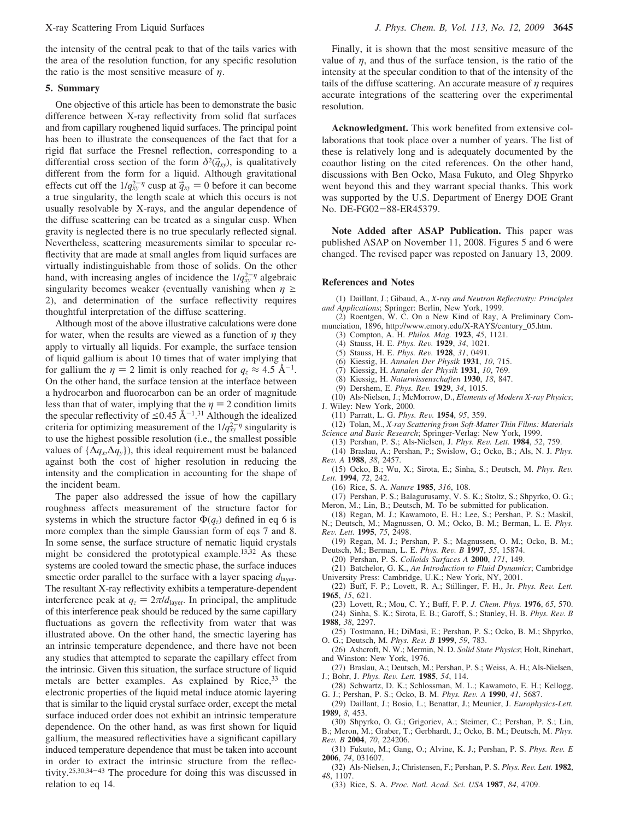the intensity of the central peak to that of the tails varies with the area of the resolution function, for any specific resolution the ratio is the most sensitive measure of *η*.

### **5. Summary**

One objective of this article has been to demonstrate the basic difference between X-ray reflectivity from solid flat surfaces and from capillary roughened liquid surfaces. The principal point has been to illustrate the consequences of the fact that for a rigid flat surface the Fresnel reflection, corresponding to a differential cross section of the form  $\delta^2(\vec{q}_x)$ , is qualitatively different from the form for a liquid. Although gravitational effects cut off the  $1/q_{xy}^{2-\eta}$  cusp at  $\vec{q}_{xy} = 0$  before it can become a true singularity, the length scale at which this occurs is not a true singularity, the length scale at which this occurs is not usually resolvable by X-rays, and the angular dependence of the diffuse scattering can be treated as a singular cusp. When gravity is neglected there is no true specularly reflected signal. Nevertheless, scattering measurements similar to specular reflectivity that are made at small angles from liquid surfaces are virtually indistinguishable from those of solids. On the other hand, with increasing angles of incidence the  $1/q_{xy}^{2-\eta}$  algebraic singularity becomes weaker (eventually vanishing when  $\eta \geq$ 2), and determination of the surface reflectivity requires thoughtful interpretation of the diffuse scattering.

Although most of the above illustrative calculations were done for water, when the results are viewed as a function of *η* they apply to virtually all liquids. For example, the surface tension of liquid gallium is about 10 times that of water implying that for gallium the  $\eta = 2$  limit is only reached for  $q_z \approx 4.5 \text{ Å}^{-1}$ . On the other hand, the surface tension at the interface between a hydrocarbon and fluorocarbon can be an order of magnitude less than that of water, implying that the  $\eta = 2$  condition limits the specular reflectivity of  $\leq 0.45 \text{ Å}^{-1.31}$  Although the idealized criteria for optimizing measurement of the  $1/q_{xy}^{2-\eta}$  singularity is to use the highest possible resolution (i.e., the smallest possible values of  $\{\Delta q_x, \Delta q_y\}$ , this ideal requirement must be balanced against both the cost of higher resolution in reducing the intensity and the complication in accounting for the shape of the incident beam.

The paper also addressed the issue of how the capillary roughness affects measurement of the structure factor for systems in which the structure factor  $\Phi(q_z)$  defined in eq 6 is more complex than the simple Gaussian form of eqs 7 and 8. In some sense, the surface structure of nematic liquid crystals might be considered the prototypical example.13,32 As these systems are cooled toward the smectic phase, the surface induces smectic order parallel to the surface with a layer spacing  $d_{\text{layer}}$ . The resultant X-ray reflectivity exhibits a temperature-dependent interference peak at  $q_z = 2\pi/d_{\text{layer}}$ . In principal, the amplitude of this interference peak should be reduced by the same capillary fluctuations as govern the reflectivity from water that was illustrated above. On the other hand, the smectic layering has an intrinsic temperature dependence, and there have not been any studies that attempted to separate the capillary effect from the intrinsic. Given this situation, the surface structure of liquid metals are better examples. As explained by Rice,<sup>33</sup> the electronic properties of the liquid metal induce atomic layering that is similar to the liquid crystal surface order, except the metal surface induced order does not exhibit an intrinsic temperature dependence. On the other hand, as was first shown for liquid gallium, the measured reflectivities have a significant capillary induced temperature dependence that must be taken into account in order to extract the intrinsic structure from the reflectivity.25,30,34-<sup>43</sup> The procedure for doing this was discussed in relation to eq 14.

Finally, it is shown that the most sensitive measure of the value of  $\eta$ , and thus of the surface tension, is the ratio of the intensity at the specular condition to that of the intensity of the tails of the diffuse scattering. An accurate measure of *η* requires accurate integrations of the scattering over the experimental resolution.

**Acknowledgment.** This work benefited from extensive collaborations that took place over a number of years. The list of these is relatively long and is adequately documented by the coauthor listing on the cited references. On the other hand, discussions with Ben Ocko, Masa Fukuto, and Oleg Shpyrko went beyond this and they warrant special thanks. This work was supported by the U.S. Department of Energy DOE Grant No. DE-FG02-88-ER45379.

**Note Added after ASAP Publication.** This paper was published ASAP on November 11, 2008. Figures 5 and 6 were changed. The revised paper was reposted on January 13, 2009.

#### **References and Notes**

(1) Daillant, J.; Gibaud, A., *X-ray and Neutron Reflectivity: Principles and Applications*; Springer: Berlin, New York, 1999.

(2) Roentgen, W. C. On a New Kind of Ray, A Preliminary Communciation, 1896, http://www.emory.edu/X-RAYS/century\_05.htm.

- (3) Compton, A. H. *Philos. Mag.* **1923**, *45*, 1121.
- (4) Stauss, H. E. *Phys. Re*V*.* **<sup>1929</sup>**, *<sup>34</sup>*, 1021.
- (5) Stauss, H. E. *Phys. Re*V*.* **<sup>1928</sup>**, *<sup>31</sup>*, 0491.
- (6) Kiessig, H. *Annalen Der Physik* **1931**, *10*, 715.
- (7) Kiessig, H. *Annalen der Physik* **1931**, *10*, 769.
- (8) Kiessig, H. *Naturwissenschaften* **1930**, *18*, 847.
- (9) Dershem, E. *Phys. Re*V*.* **<sup>1929</sup>**, *<sup>34</sup>*, 1015.
- (10) Als-Nielsen, J.; McMorrow, D., *Elements of Modern X-ray Physics*; J. Wiley: New York, 2000.
	- (11) Parratt, L. G. *Phys. Re*V*.* **<sup>1954</sup>**, *<sup>95</sup>*, 359.

(12) Tolan, M., *X-ray Scattering from Soft-Matter Thin Films: Materials Science and Basic Research*; Springer-Verlag: New York, 1999.

- (13) Pershan, P. S.; Als-Nielsen, J. *Phys. Re*V*. Lett.* **<sup>1984</sup>**, *<sup>52</sup>*, 759. (14) Braslau, A.; Pershan, P.; Swislow, G.; Ocko, B.; Als, N. J. *Phys.*
- *Re*V*. A* **<sup>1988</sup>**, *<sup>38</sup>*, 2457.
- (15) Ocko, B.; Wu, X.; Sirota, E.; Sinha, S.; Deutsch, M. *Phys. Re*V*. Lett.* **1994**, *72*, 242.

(16) Rice, S. A. *Nature* **1985**, *316*, 108.

(17) Pershan, P. S.; Balagurusamy, V. S. K.; Stoltz, S.; Shpyrko, O. G.; Meron, M.; Lin, B.; Deutsch, M. To be submitted for publication.

(18) Regan, M. J.; Kawamoto, E. H.; Lee, S.; Pershan, P. S.; Maskil, N.; Deutsch, M.; Magnussen, O. M.; Ocko, B. M.; Berman, L. E. *Phys.*

*Re*V*. Lett.* **<sup>1995</sup>**, *<sup>75</sup>*, 2498. (19) Regan, M. J.; Pershan, P. S.; Magnussen, O. M.; Ocko, B. M.;

Deutsch, M.; Berman, L. E. *Phys. Re*V*. B* **<sup>1997</sup>**, *<sup>55</sup>*, 15874.

(20) Pershan, P. S. *Colloids Surfaces A* **2000**, *171*, 149. (21) Batchelor, G. K., *An Introduction to Fluid Dynamics*; Cambridge

University Press: Cambridge, U.K.; New York, NY, 2001.

(22) Buff, F. P.; Lovett, R. A.; Stillinger, F. H., Jr. *Phys. Re*V*. Lett.* **1965**, *15*, 621.

(23) Lovett, R.; Mou, C. Y.; Buff, F. P. *J. Chem. Phys.* **1976**, *65*, 570. (24) Sinha, S. K.; Sirota, E. B.; Garoff, S.; Stanley, H. B. *Phys. Re*V*. B* **1988**, *38*, 2297.

(25) Tostmann, H.; DiMasi, E.; Pershan, P. S.; Ocko, B. M.; Shpyrko, O. G.; Deutsch, M. *Phys. Re*V*. B* **<sup>1999</sup>**, *<sup>59</sup>*, 783.

(26) Ashcroft, N. W.; Mermin, N. D. *Solid State Physics*; Holt, Rinehart, and Winston: New York, 1976.

(27) Braslau, A.; Deutsch, M.; Pershan, P. S.; Weiss, A. H.; Als-Nielsen, J.; Bohr, J. *Phys. Re*V*. Lett.* **<sup>1985</sup>**, *<sup>54</sup>*, 114.

(28) Schwartz, D. K.; Schlossman, M. L.; Kawamoto, E. H.; Kellogg, G. J.; Pershan, P. S.; Ocko, B. M. *Phys. Re*V*. A* **<sup>1990</sup>**, *<sup>41</sup>*, 5687.

(29) Daillant, J.; Bosio, L.; Benattar, J.; Meunier, J. *Europhysics-Lett.* **1989**, *8*, 453.

(30) Shpyrko, O. G.; Grigoriev, A.; Steimer, C.; Pershan, P. S.; Lin, B.; Meron, M.; Graber, T.; Gerbhardt, J.; Ocko, B. M.; Deutsch, M. *Phys. Re*V*. B* **<sup>2004</sup>**, *<sup>70</sup>*, 224206.

(31) Fukuto, M.; Gang, O.; Alvine, K. J.; Pershan, P. S. *Phys. Re*V*. E* **2006**, *74*, 031607.

(32) Als-Nielsen, J.; Christensen, F.; Pershan, P. S. *Phys. Re*V*. Lett.* **<sup>1982</sup>**, *48*, 1107.

(33) Rice, S. A. *Proc. Natl. Acad. Sci. USA* **1987**, *84*, 4709.